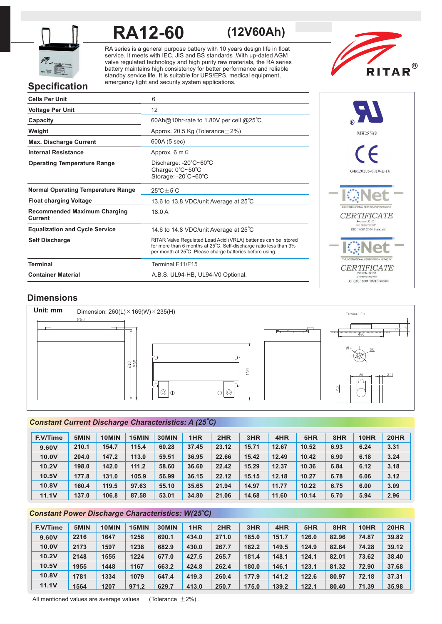

# **RA12-60 (12V60Ah)**

RA series is a general purpose battery with 10 years design life in float service. It meets with IEC, JIS and BS standards .With up-dated AGM valve regulated technology and high purity raw materials, the RA series battery maintains high consistency for better performance and reliable standby service life. It is suitable for UPS/EPS, medical equipment, emergency light and security system applications.



# **Specification**

| <b>Cells Per Unit</b>                          | 6                                                                                                                                                                                               |
|------------------------------------------------|-------------------------------------------------------------------------------------------------------------------------------------------------------------------------------------------------|
| <b>Voltage Per Unit</b>                        | 12                                                                                                                                                                                              |
| Capacity                                       | 60Ah@10hr-rate to 1.80V per cell @25°C                                                                                                                                                          |
| Weight                                         | Approx. 20.5 Kg (Tolerance $\pm$ 2%)                                                                                                                                                            |
| <b>Max. Discharge Current</b>                  | 600A (5 sec)                                                                                                                                                                                    |
| <b>Internal Resistance</b>                     | Approx. 6 m $\Omega$                                                                                                                                                                            |
| <b>Operating Temperature Range</b>             | Discharge: $-20^{\circ}$ C $-60^{\circ}$ C<br>Charge: 0°C~50°C<br>Storage: -20°C~60°C                                                                                                           |
| <b>Normal Operating Temperature Range</b>      | $25^{\circ}$ C $\pm$ 5 $^{\circ}$ C                                                                                                                                                             |
| <b>Float charging Voltage</b>                  | 13.6 to 13.8 VDC/unit Average at 25°C                                                                                                                                                           |
| <b>Recommended Maximum Charging</b><br>Current | 18.0A                                                                                                                                                                                           |
| <b>Equalization and Cycle Service</b>          | 14.6 to 14.8 VDC/unit Average at $25^{\circ}$ C                                                                                                                                                 |
| <b>Self Discharge</b>                          | RITAR Valve Regulated Lead Acid (VRLA) batteries can be stored<br>for more than 6 months at 25°C. Self-discharge ratio less than 3%<br>per month at 25°C. Please charge batteries before using. |
| <b>Terminal</b>                                | Terminal F11/F15                                                                                                                                                                                |
| <b>Container Material</b>                      | A.B.S. UL94-HB, UL94-V0 Optional.                                                                                                                                                               |



## **Dimensions**



### *o Constant Current Discharge Characteristics: A (25 C)*

| <b>F.V/Time</b> | 5MIN  | 10MIN | 15MIN | 30MIN | 1HR   | 2HR   | 3HR   | 4HR   | 5HR   | 8HR  | 10HR | <b>20HR</b> |
|-----------------|-------|-------|-------|-------|-------|-------|-------|-------|-------|------|------|-------------|
| 9.60V           | 210.1 | 154.7 | 115.4 | 60.28 | 37.45 | 23.12 | 15.71 | 12.67 | 10.52 | 6.93 | 6.24 | 3.31        |
| 10.0V           | 204.0 | 147.2 | 113.0 | 59.51 | 36.95 | 22.66 | 15.42 | 12.49 | 10.42 | 6.90 | 6.18 | 3.24        |
| 10.2V           | 198.0 | 142.0 | 111.2 | 58.60 | 36.60 | 22.42 | 15.29 | 12.37 | 10.36 | 6.84 | 6.12 | 3.18        |
| 10.5V           | 177.8 | 131.0 | 105.9 | 56.99 | 36.15 | 22.12 | 15.15 | 12.18 | 10.27 | 6.78 | 6.06 | 3.12        |
| <b>10.8V</b>    | 160.4 | 119.5 | 97.63 | 55.10 | 35.65 | 21.94 | 14.97 | 11.77 | 10.22 | 6.75 | 6.00 | 3.09        |
| <b>11.1V</b>    | 137.0 | 106.8 | 87.58 | 53.01 | 34.80 | 21.06 | 14.68 | 11.60 | 10.14 | 6.70 | 5.94 | 2.96        |

### *o Constant Power Discharge Characteristics: W(25 C)*

| <b>F.V/Time</b> | 5MIN | 10MIN | 15MIN | 30MIN | 1HR   | 2HR   | 3HR   | 4HR   | 5HR   | 8HR   | 10HR  | <b>20HR</b> |
|-----------------|------|-------|-------|-------|-------|-------|-------|-------|-------|-------|-------|-------------|
| 9.60V           | 2216 | 1647  | 1258  | 690.1 | 434.0 | 271.0 | 185.0 | 151.7 | 126.0 | 82.96 | 74.87 | 39.82       |
| 10.0V           | 2173 | 1597  | 1238  | 682.9 | 430.0 | 267.7 | 182.2 | 149.5 | 124.9 | 82.64 | 74.28 | 39.12       |
| 10.2V           | 2148 | 1555  | 1224  | 677.0 | 427.5 | 265.7 | 181.4 | 148.1 | 124.1 | 82.01 | 73.62 | 38.40       |
| 10.5V           | 1955 | 1448  | 1167  | 663.2 | 424.8 | 262.4 | 180.0 | 146.1 | 123.1 | 81.32 | 72.90 | 37.68       |
| 10.8V           | 1781 | 1334  | 1079  | 647.4 | 419.3 | 260.4 | 177.9 | 141.2 | 122.6 | 80.97 | 72.18 | 37.31       |
| 11.1V           | 1564 | 1207  | 971.2 | 629.7 | 413.0 | 250.7 | 175.0 | 139.2 | 122.1 | 80.40 | 71.39 | 35.98       |

All mentioned values are average values (Tolerance  $\pm 2\%$ ).